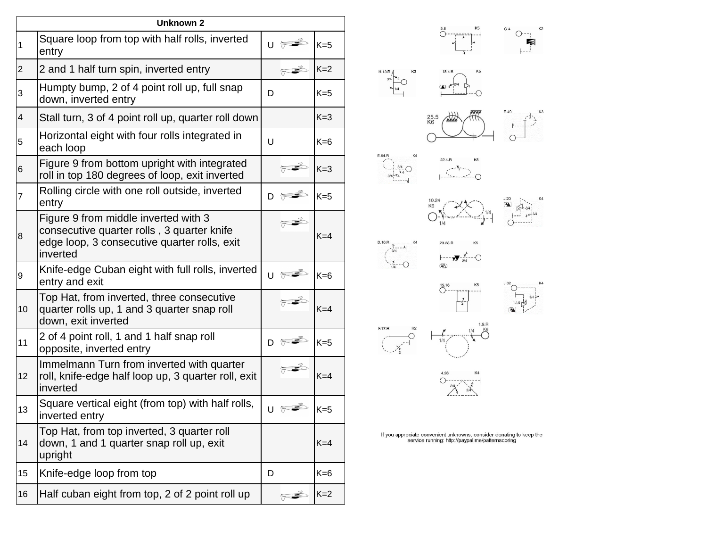| <b>Unknown 2</b>        |                                                                                                                                                |   |                      |       |
|-------------------------|------------------------------------------------------------------------------------------------------------------------------------------------|---|----------------------|-------|
| $\mathbf 1$             | Square loop from top with half rolls, inverted<br>entry                                                                                        |   |                      | $K=5$ |
| 2                       | 2 and 1 half turn spin, inverted entry                                                                                                         |   |                      | $K=2$ |
| 3                       | Humpty bump, 2 of 4 point roll up, full snap<br>down, inverted entry                                                                           | D |                      | $K=5$ |
| $\overline{\mathbf{4}}$ | Stall turn, 3 of 4 point roll up, quarter roll down                                                                                            |   |                      | $K=3$ |
| 5                       | Horizontal eight with four rolls integrated in<br>each loop                                                                                    | U |                      | $K=6$ |
| 6                       | Figure 9 from bottom upright with integrated<br>roll in top 180 degrees of loop, exit inverted                                                 |   |                      | $K=3$ |
| 7                       | Rolling circle with one roll outside, inverted<br>entry                                                                                        | D |                      | $K=5$ |
| 8                       | Figure 9 from middle inverted with 3<br>consecutive quarter rolls, 3 quarter knife<br>edge loop, 3 consecutive quarter rolls, exit<br>inverted |   |                      | $K=4$ |
| 9                       | Knife-edge Cuban eight with full rolls, inverted<br>entry and exit                                                                             | U |                      | $K=6$ |
| 10                      | Top Hat, from inverted, three consecutive<br>quarter rolls up, 1 and 3 quarter snap roll<br>down, exit inverted                                |   |                      | $K=4$ |
| 11                      | 2 of 4 point roll, 1 and 1 half snap roll<br>opposite, inverted entry                                                                          |   | D H                  | $K=5$ |
| 12                      | Immelmann Turn from inverted with quarter<br>roll, knife-edge half loop up, 3 quarter roll, exit<br>inverted                                   |   |                      | $K=4$ |
| 13                      | Square vertical eight (from top) with half rolls,<br>inverted entry                                                                            |   |                      | $K=5$ |
| 14                      | Top Hat, from top inverted, 3 quarter roll<br>down, 1 and 1 quarter snap roll up, exit<br>upright                                              |   |                      | $K=4$ |
| 15                      | Knife-edge loop from top                                                                                                                       | D |                      | $K=6$ |
| 16                      | Half cuban eight from top, 2 of 2 point roll up                                                                                                |   | $\frac{1}{\sqrt{2}}$ | $K=2$ |